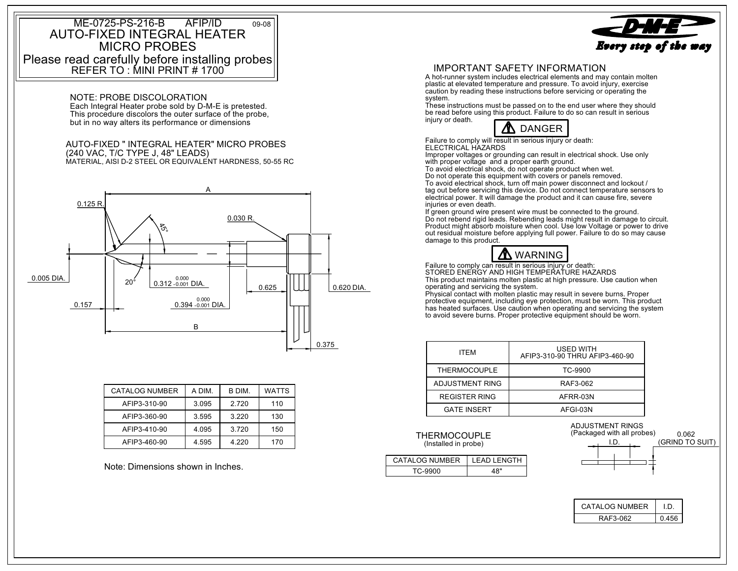## Please read carefully before installing probes MICRO PROBESAUTO-FIXED INTEGRAL HEATER REFER TO : MINI PRINT # 1700 ME-0725-PS-216-B AFIP/ID09-08

Each Integral Heater probe sold by D-M-E is pretested. NOTE: PROBE DISCOLORATION

This procedure discolors the outer surface of the probe, but in no way alters its performance or dimensions

## MATERIAL, AISI D-2 STEEL OR EQUIVALENT HARDNESS, 50-55 RC (240 VAC, T/C TYPE J, 48" LEADS) AUTO-FIXED " INTEGRAL HEATER" MICRO PROBES



| <b>CATALOG NUMBER</b> | A DIM. | B DIM.  | <b>WATTS</b> |
|-----------------------|--------|---------|--------------|
| AFIP3-310-90          | 3.095  | 2.720   | 110          |
| AFIP3-360-90          | 3.595  | 3.220   | 130          |
| AFIP3-410-90          | 4.095  | 3.720   | 150          |
| AFIP3-460-90          | 4.595  | 4 2 2 0 | 170          |

Note: Dimensions shown in Inches.



 A hot-runner system includes electrical elements and may contain molten plastic at elevated temperature and pressure. To avoid injury, exercise caution by reading these instructions before servicing or operating the system.

These instructions must be passed on to the end user where they should be read before using this product. Failure to do so can result in serious injury or death.



Failure to comply will result in serious injury or death: ELECTRICAL HAZARDS

Improper voltages or grounding can result in electrical shock. Use only

with proper voltage and a proper earth ground. To avoid electrical shock, do not operate product when wet.

Do not operate this equipment with covers or panels removed. To avoid electrical shock, turn off main power disconnect and lockout / tag out before servicing this device. Do not connect temperature sensors to electrical power. It will damage the product and it can cause fire, severe injuries or even death.

out residual moisture before applying full power. Failure to do so may cause If green ground wire present wire must be connected to the ground. Do not rebend rigid leads. Rebending leads might result in damage to circuit. Product might absorb moisture when cool. Use low Voltage or power to drive damage to this product.



Failure to comply can result in serious injury or death: STORED ENERGY AND HIGH TEMPERATURE HAZARDSThis product maintains molten plastic at high pressure. Use caution when

operating and servicing the system. Physical contact with molten plastic may result in severe burns. Proper

protective equipment, including eye protection, must be worn. This product has heated surfaces. Use caution when operating and servicing the system to avoid severe burns. Proper protective equipment should be worn.

| <b>ITFM</b>          | <b>USED WITH</b><br>AFIP3-310-90 THRU AFIP3-460-90 |
|----------------------|----------------------------------------------------|
| <b>THERMOCOUPLE</b>  | TC-9900                                            |
| ADJUSTMENT RING      | RAF3-062                                           |
| <b>REGISTER RING</b> | AFRR-03N                                           |
| <b>GATE INSERT</b>   | AFGI-03N                                           |

(Installed in probe) THERMOCOUPLE

| <b>CATALOG NUMBFR</b> | I FAD I FNGTH |
|-----------------------|---------------|
|                       | ົ             |



| CATALOG NUMBER |  |
|----------------|--|
| RAF3-062       |  |